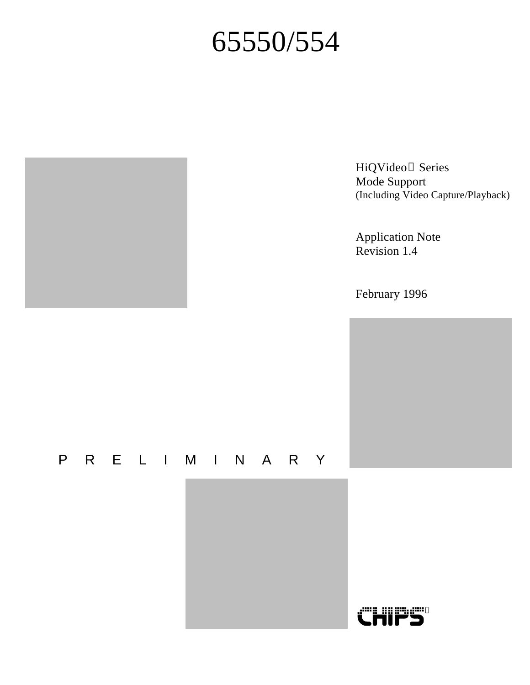# 65550/554

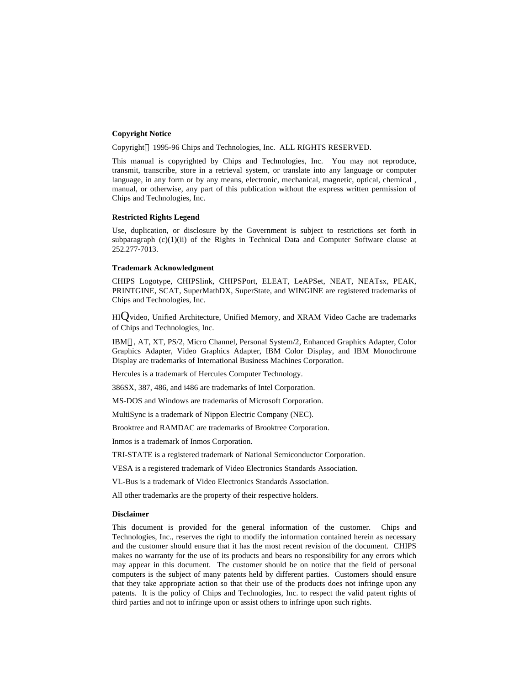#### **Copyright Notice**

Copyright<sup>©</sup> 1995-96 Chips and Technologies, Inc. ALL RIGHTS RESERVED.

This manual is copyrighted by Chips and Technologies, Inc. You may not reproduce, transmit, transcribe, store in a retrieval system, or translate into any language or computer language, in any form or by any means, electronic, mechanical, magnetic, optical, chemical , manual, or otherwise, any part of this publication without the express written permission of Chips and Technologies, Inc.

#### **Restricted Rights Legend**

Use, duplication, or disclosure by the Government is subject to restrictions set forth in subparagraph  $(c)(1)(ii)$  of the Rights in Technical Data and Computer Software clause at 252.277-7013.

#### **Trademark Acknowledgment**

CHIPS Logotype, CHIPSlink, CHIPSPort, ELEAT, LeAPSet, NEAT, NEATsx, PEAK, PRINTGINE, SCAT, SuperMathDX, SuperState, and WINGINE are registered trademarks of Chips and Technologies, Inc.

 $HIO$  video, Unified Architecture, Unified Memory, and XRAM Video Cache are trademarks of Chips and Technologies, Inc.

IBM®, AT, XT, PS/2, Micro Channel, Personal System/2, Enhanced Graphics Adapter, Color Graphics Adapter, Video Graphics Adapter, IBM Color Display, and IBM Monochrome Display are trademarks of International Business Machines Corporation.

Hercules is a trademark of Hercules Computer Technology.

386SX, 387, 486, and i486 are trademarks of Intel Corporation.

MS-DOS and Windows are trademarks of Microsoft Corporation.

MultiSync is a trademark of Nippon Electric Company (NEC).

Brooktree and RAMDAC are trademarks of Brooktree Corporation.

Inmos is a trademark of Inmos Corporation.

TRI-STATE is a registered trademark of National Semiconductor Corporation.

VESA is a registered trademark of Video Electronics Standards Association.

VL-Bus is a trademark of Video Electronics Standards Association.

All other trademarks are the property of their respective holders.

#### **Disclaimer**

This document is provided for the general information of the customer. Chips and Technologies, Inc., reserves the right to modify the information contained herein as necessary and the customer should ensure that it has the most recent revision of the document. CHIPS makes no warranty for the use of its products and bears no responsibility for any errors which may appear in this document. The customer should be on notice that the field of personal computers is the subject of many patents held by different parties. Customers should ensure that they take appropriate action so that their use of the products does not infringe upon any patents. It is the policy of Chips and Technologies, Inc. to respect the valid patent rights of third parties and not to infringe upon or assist others to infringe upon such rights.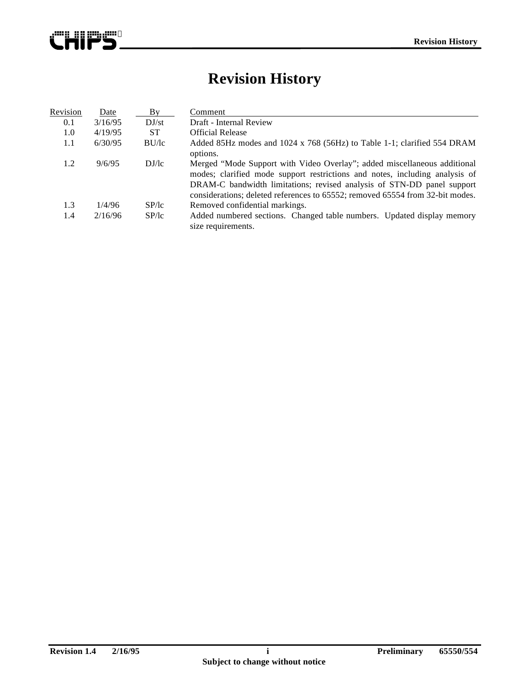

# **Revision History**

| Revision | Date    | Bv               | Comment                                                                                                                                                                                                                                                                                                            |  |  |  |  |
|----------|---------|------------------|--------------------------------------------------------------------------------------------------------------------------------------------------------------------------------------------------------------------------------------------------------------------------------------------------------------------|--|--|--|--|
| 0.1      | 3/16/95 | DJ <sub>st</sub> | Draft - Internal Review                                                                                                                                                                                                                                                                                            |  |  |  |  |
| 1.0      | 4/19/95 | <b>ST</b>        | <b>Official Release</b>                                                                                                                                                                                                                                                                                            |  |  |  |  |
| 1.1      | 6/30/95 | BU/lc            | Added 85Hz modes and 1024 x 768 (56Hz) to Table 1-1; clarified 554 DRAM<br>options.                                                                                                                                                                                                                                |  |  |  |  |
| 1.2      | 9/6/95  | DJ/lc            | Merged "Mode Support with Video Overlay"; added miscellaneous additional<br>modes; clarified mode support restrictions and notes, including analysis of<br>DRAM-C bandwidth limitations; revised analysis of STN-DD panel support<br>considerations; deleted references to 65552; removed 65554 from 32-bit modes. |  |  |  |  |
| 1.3      | 1/4/96  | SP/lc            | Removed confidential markings.                                                                                                                                                                                                                                                                                     |  |  |  |  |
| 1.4      | 2/16/96 | SP/lc            | Added numbered sections. Changed table numbers. Updated display memory<br>size requirements.                                                                                                                                                                                                                       |  |  |  |  |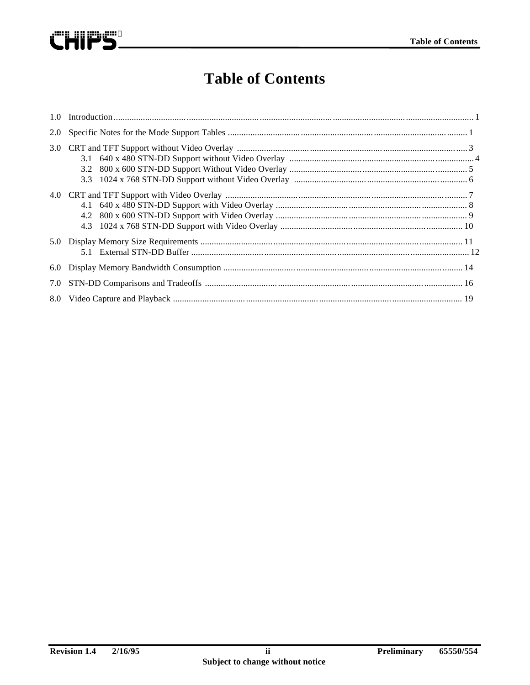

# **Table of Contents**

| 2.0 |  |
|-----|--|
| 3.0 |  |
|     |  |
| 5.0 |  |
| 6.0 |  |
| 7.0 |  |
| 8.0 |  |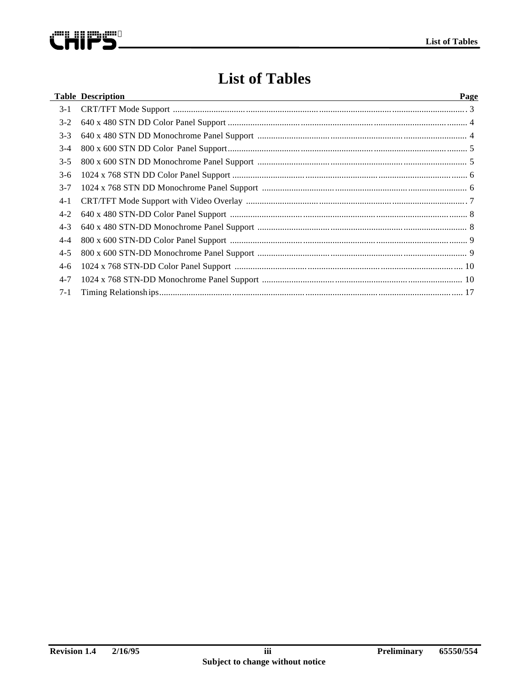

# **List of Tables**

|         | <b>Table Description</b> | Page |
|---------|--------------------------|------|
| $3-1$   |                          |      |
| $3-2$   |                          |      |
| $3 - 3$ |                          |      |
| $3-4$   |                          |      |
| $3 - 5$ |                          |      |
| $3-6$   |                          |      |
| $3 - 7$ |                          |      |
| $4-1$   |                          |      |
| $4 - 2$ |                          |      |
| $4 - 3$ |                          |      |
| $4 - 4$ |                          |      |
| $4 - 5$ |                          |      |
| $4-6$   |                          |      |
| $4 - 7$ |                          |      |
| $7-1$   |                          |      |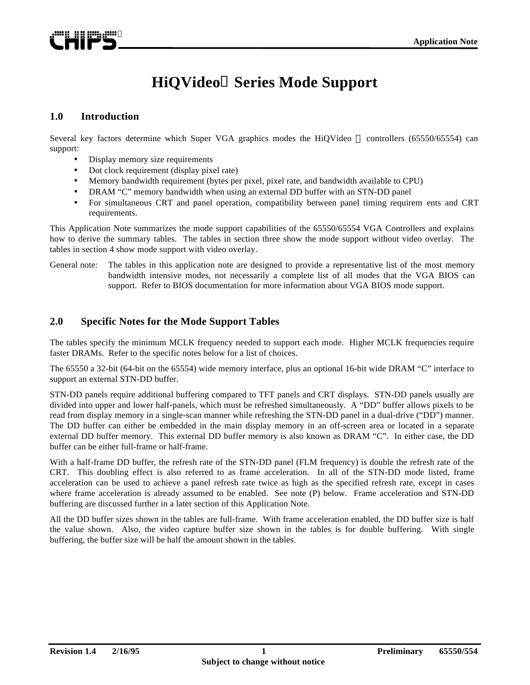

# **HiQVideo Series Mode Support**

#### **1.0 Introduction**

Several key factors determine which Super VGA graphics modes the HiQVideo  $\scriptstyle\rm\stackrel{\text{nd}}{ }$  controllers (65550/65554) can support:

- Display memory size requirements
- Dot clock requirement (display pixel rate)
- Memory bandwidth requirement (bytes per pixel, pixel rate, and bandwidth available to CPU)
- DRAM "C" memory bandwidth when using an external DD buffer with an STN-DD panel
- For simultaneous CRT and panel operation, compatibility between panel timing requirem ents and CRT requirements.

This Application Note summarizes the mode support capabilities of the 65550/65554 VGA Controllers and explains how to derive the summary tables. The tables in section three show the mode support without video overlay. The tables in section 4 show mode support with video overlay.

General note: The tables in this application note are designed to provide a representative list of the most memory bandwidth intensive modes, not necessarily a complete list of all modes that the VGA BIOS can support. Refer to BIOS documentation for more information about VGA BIOS mode support.

#### **2.0 Specific Notes for the Mode Support Tables**

The tables specify the minimum MCLK frequency needed to support each mode. Higher MCLK frequencies require faster DRAMs. Refer to the specific notes below for a list of choices.

The 65550 a 32-bit (64-bit on the 65554) wide memory interface, plus an optional 16-bit wide DRAM "C" interface to support an external STN-DD buffer.

STN-DD panels require additional buffering compared to TFT panels and CRT displays. STN-DD panels usually are divided into upper and lower half-panels, which must be refreshed simultaneously. A "DD" buffer allows pixels to be read from display memory in a single-scan manner while refreshing the STN-DD panel in a dual-drive ("DD") manner. The DD buffer can either be embedded in the main display memory in an off-screen area or located in a separate external DD buffer memory. This external DD buffer memory is also known as DRAM "C". In either case, the DD buffer can be either full-frame or half-frame.

With a half-frame DD buffer, the refresh rate of the STN-DD panel (FLM frequency) is double the refresh rate of the CRT. This doubling effect is also referred to as frame acceleration. In all of the STN-DD mode listed, frame acceleration can be used to achieve a panel refresh rate twice as high as the specified refresh rate, except in cases where frame acceleration is already assumed to be enabled. See note (P) below. Frame acceleration and STN-DD buffering are discussed further in a later section of this Application Note.

All the DD buffer sizes shown in the tables are full-frame. With frame acceleration enabled, the DD buffer size is half the value shown. Also, the video capture buffer size shown in the tables is for double buffering. With single buffering, the buffer size will be half the amount shown in the tables.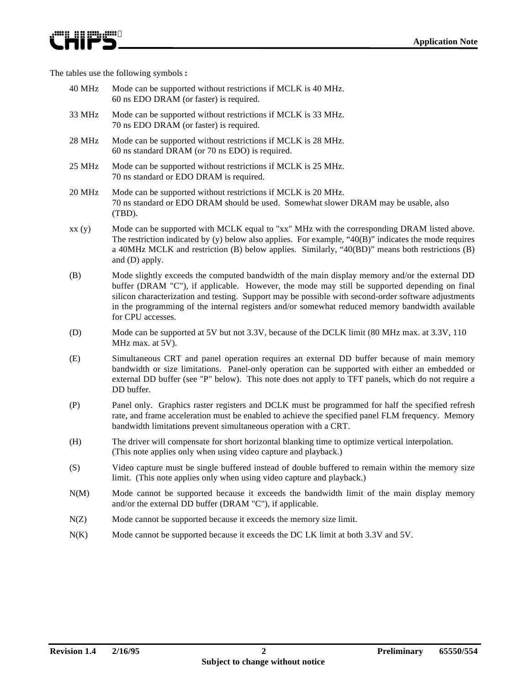The tables use the following symbols **:**

ewn nn meir

- 40 MHz Mode can be supported without restrictions if MCLK is 40 MHz. 60 ns EDO DRAM (or faster) is required.
- 33 MHz Mode can be supported without restrictions if MCLK is 33 MHz. 70 ns EDO DRAM (or faster) is required.
- 28 MHz Mode can be supported without restrictions if MCLK is 28 MHz. 60 ns standard DRAM (or 70 ns EDO) is required.
- 25 MHz Mode can be supported without restrictions if MCLK is 25 MHz. 70 ns standard or EDO DRAM is required.
- 20 MHz Mode can be supported without restrictions if MCLK is 20 MHz. 70 ns standard or EDO DRAM should be used. Somewhat slower DRAM may be usable, also (TBD).
- xx (y) Mode can be supported with MCLK equal to "xx" MHz with the corresponding DRAM listed above. The restriction indicated by  $(y)$  below also applies. For example, "40 $(B)$ " indicates the mode requires a 40MHz MCLK and restriction (B) below applies. Similarly, "40(BD)" means both restrictions (B) and (D) apply.
- (B) Mode slightly exceeds the computed bandwidth of the main display memory and/or the external DD buffer (DRAM "C"), if applicable. However, the mode may still be supported depending on final silicon characterization and testing. Support may be possible with second-order software adjustments in the programming of the internal registers and/or somewhat reduced memory bandwidth available for CPU accesses.
- (D) Mode can be supported at 5V but not 3.3V, because of the DCLK limit (80 MHz max. at 3.3V, 110 MHz max. at 5V).
- (E) Simultaneous CRT and panel operation requires an external DD buffer because of main memory bandwidth or size limitations. Panel-only operation can be supported with either an embedded or external DD buffer (see "P" below). This note does not apply to TFT panels, which do not require a DD buffer.
- (P) Panel only. Graphics raster registers and DCLK must be programmed for half the specified refresh rate, and frame acceleration must be enabled to achieve the specified panel FLM frequency. Memory bandwidth limitations prevent simultaneous operation with a CRT.
- (H) The driver will compensate for short horizontal blanking time to optimize vertical interpolation. (This note applies only when using video capture and playback.)
- (S) Video capture must be single buffered instead of double buffered to remain within the memory size limit. (This note applies only when using video capture and playback.)
- N(M) Mode cannot be supported because it exceeds the bandwidth limit of the main display memory and/or the external DD buffer (DRAM "C"), if applicable.
- N(Z) Mode cannot be supported because it exceeds the memory size limit.
- N(K) Mode cannot be supported because it exceeds the DC LK limit at both 3.3V and 5V.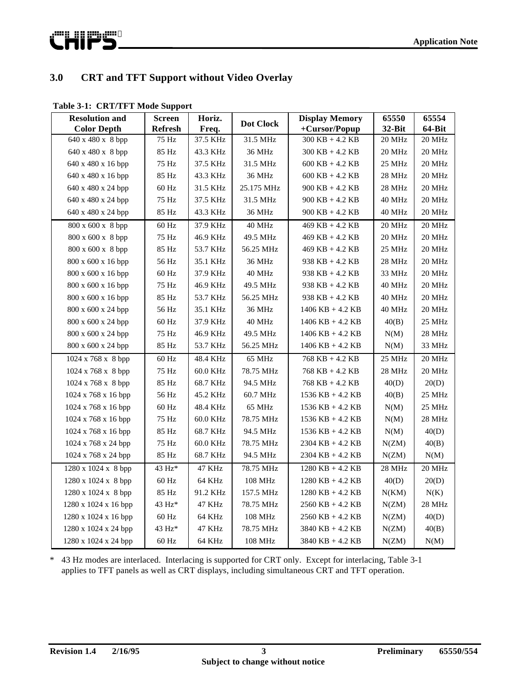

### **3.0 CRT and TFT Support without Video Overlay**

|  | Table 3-1: CRT/TFT Mode Support |
|--|---------------------------------|
|--|---------------------------------|

| <b>Resolution and</b>            | <b>Screen</b>      | Horiz.   | <b>Dot Clock</b> | <b>Display Memory</b> | 65550  | 65554         |
|----------------------------------|--------------------|----------|------------------|-----------------------|--------|---------------|
| <b>Color Depth</b>               | <b>Refresh</b>     | Freq.    |                  | +Cursor/Popup         | 32-Bit | <b>64-Bit</b> |
| 640 x 480 x 8 bpp                | 75 Hz              | 37.5 KHz | 31.5 MHz         | $300$ KB + 4.2 KB     | 20 MHz | 20 MHz        |
| 640 x 480 x 8 bpp                | 85 Hz              | 43.3 KHz | 36 MHz           | 300 KB + 4.2 KB       | 20 MHz | 20 MHz        |
| 640 x 480 x 16 bpp               | 75 Hz              | 37.5 KHz | 31.5 MHz         | $600$ KB $+$ 4.2 KB   | 25 MHz | 20 MHz        |
| $640 \times 480 \times 16$ bpp   | 85 Hz              | 43.3 KHz | 36 MHz           | $600$ KB + 4.2 KB     | 28 MHz | 20 MHz        |
| $640 \times 480 \times 24$ bpp   | $60$ Hz            | 31.5 KHz | 25.175 MHz       | $900$ KB + 4.2 KB     | 28 MHz | 20 MHz        |
| 640 x 480 x 24 bpp               | 75 Hz              | 37.5 KHz | 31.5 MHz         | $900$ KB + 4.2 KB     | 40 MHz | 20 MHz        |
| $640 \times 480 \times 24$ bpp   | 85 Hz              | 43.3 KHz | 36 MHz           | $900$ KB $+$ 4.2 KB   | 40 MHz | 20 MHz        |
| 800 x 600 x 8 bpp                | $60\ \mathrm{Hz}$  | 37.9 KHz | 40 MHz           | $469$ KB + 4.2 KB     | 20 MHz | 20 MHz        |
| 800 x 600 x 8 bpp                | 75 Hz              | 46.9 KHz | 49.5 MHz         | $469$ KB + 4.2 KB     | 20 MHz | 20 MHz        |
| 800 x 600 x 8 bpp                | 85 Hz              | 53.7 KHz | 56.25 MHz        | $469$ KB + 4.2 KB     | 25 MHz | 20 MHz        |
| $800 \times 600 \times 16$ bpp   | 56 Hz              | 35.1 KHz | 36 MHz           | $938$ KB + 4.2 KB     | 28 MHz | 20 MHz        |
| $800 \times 600 \times 16$ bpp   | 60 Hz              | 37.9 KHz | 40 MHz           | $938$ KB + 4.2 KB     | 33 MHz | 20 MHz        |
| 800 x 600 x 16 bpp               | 75 Hz              | 46.9 KHz | 49.5 MHz         | $938$ KB + 4.2 KB     | 40 MHz | 20 MHz        |
| $800 \times 600 \times 16$ bpp   | 85 Hz              | 53.7 KHz | 56.25 MHz        | $938$ KB + 4.2 KB     | 40 MHz | 20 MHz        |
| $800 \times 600 \times 24$ bpp   | 56 Hz              | 35.1 KHz | 36 MHz           | $1406$ KB + 4.2 KB    | 40 MHz | 20 MHz        |
| 800 x 600 x 24 bpp               | 60 Hz              | 37.9 KHz | 40 MHz           | $1406$ KB + 4.2 KB    | 40(B)  | 25 MHz        |
| $800 \times 600 \times 24$ bpp   | 75 Hz              | 46.9 KHz | 49.5 MHz         | $1406$ KB + 4.2 KB    | N(M)   | 28 MHz        |
| 800 x 600 x 24 bpp               | $85\ \mathrm{Hz}$  | 53.7 KHz | 56.25 MHz        | $1406$ KB + 4.2 KB    | N(M)   | 33 MHz        |
| $1024 \times 768 \times 8$ bpp   | 60 Hz              | 48.4 KHz | 65 MHz           | $768$ KB + 4.2 KB     | 25 MHz | 20 MHz        |
| $1024 \times 768 \times 8$ bpp   | 75 Hz              | 60.0 KHz | 78.75 MHz        | 768 KB + 4.2 KB       | 28 MHz | 20 MHz        |
| 1024 x 768 x 8 bpp               | 85 Hz              | 68.7 KHz | 94.5 MHz         | 768 KB + 4.2 KB       | 40(D)  | 20(D)         |
| 1024 x 768 x 16 bpp              | 56 Hz              | 45.2 KHz | 60.7 MHz         | $1536$ KB + 4.2 KB    | 40(B)  | 25 MHz        |
| 1024 x 768 x 16 bpp              | 60 Hz              | 48.4 KHz | 65 MHz           | $1536$ KB + 4.2 KB    | N(M)   | 25 MHz        |
| 1024 x 768 x 16 bpp              | 75 Hz              | 60.0 KHz | 78.75 MHz        | $1536$ KB + 4.2 KB    | N(M)   | 28 MHz        |
| 1024 x 768 x 16 bpp              | 85 Hz              | 68.7 KHz | 94.5 MHz         | $1536$ KB + 4.2 KB    | N(M)   | 40(D)         |
| 1024 x 768 x 24 bpp              | 75 Hz              | 60.0 KHz | 78.75 MHz        | $2304$ KB + 4.2 KB    | N(ZM)  | 40(B)         |
| 1024 x 768 x 24 bpp              | 85 Hz              | 68.7 KHz | 94.5 MHz         | $2304$ KB + 4.2 KB    | N(ZM)  | N(M)          |
| $1280 \times 1024 \times 8$ bpp  | 43 Hz*             | 47 KHz   | 78.75 MHz        | $1280$ KB + 4.2 KB    | 28 MHz | 20 MHz        |
| $1280 \times 1024 \times 8$ bpp  | 60 Hz              | 64 KHz   | 108 MHz          | $1280$ KB + 4.2 KB    | 40(D)  | 20(D)         |
| $1280 \times 1024 \times 8$ bpp  | 85 Hz              | 91.2 KHz | 157.5 MHz        | $1280$ KB + 4.2 KB    | N(KM)  | N(K)          |
| $1280 \times 1024 \times 16$ bpp | $43~\mathrm{Hz^*}$ | 47 KHz   | 78.75 MHz        | $2560$ KB + 4.2 KB    | N(ZM)  | 28 MHz        |
| 1280 x 1024 x 16 bpp             | 60 Hz              | 64 KHz   | 108 MHz          | $2560$ KB + 4.2 KB    | N(ZM)  | 40(D)         |
| 1280 x 1024 x 24 bpp             | 43 Hz*             | 47 KHz   | 78.75 MHz        | $3840$ KB + 4.2 KB    | N(ZM)  | 40(B)         |
| $1280 \times 1024 \times 24$ bpp | 60 Hz              | 64 KHz   | 108 MHz          | $3840$ KB + 4.2 KB    | N(ZM)  | N(M)          |

\* 43 Hz modes are interlaced. Interlacing is supported for CRT only. Except for interlacing, Table 3-1 applies to TFT panels as well as CRT displays, including simultaneous CRT and TFT operation.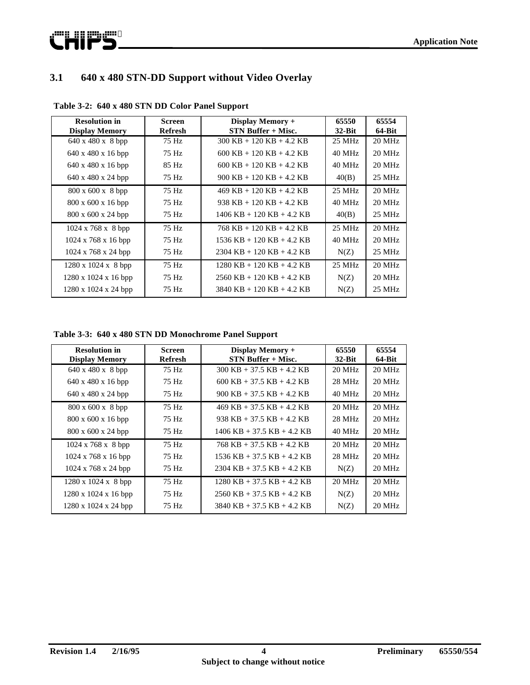

# **3.1 640 x 480 STN-DD Support without Video Overlay**

| <b>Resolution in</b><br><b>Display Memory</b> | <b>Screen</b><br><b>Refresh</b> | Display Memory +<br>STN Buffer + Misc.             | 65550<br>$32$ -Bit | 65554<br>64-Bit |
|-----------------------------------------------|---------------------------------|----------------------------------------------------|--------------------|-----------------|
| 640 x 480 x 8 bpp                             | 75 Hz                           | $300$ KB + 120 KB + 4.2 KB                         | 25 MHz             | 20 MHz          |
| $640 \times 480 \times 16$ bpp                | 75 Hz                           | $600$ KB + 120 KB + 4.2 KB                         | $40$ MHz           | $20$ MHz        |
| $640 \times 480 \times 16$ bpp                | 85 Hz                           | $600$ KB + 120 KB + 4.2 KB                         | $40$ MHz           | $20$ MHz        |
| $640 \times 480 \times 24$ bpp                | 75 Hz                           | $900 \text{ KB} + 120 \text{ KB} + 4.2 \text{ KB}$ | 40(B)              | 25 MHz          |
| $800 \times 600 \times 8$ bpp                 | 75 Hz                           | $469$ KB + 120 KB + 4.2 KB                         | $25 \text{ MHz}$   | $20$ MHz        |
| 800 x 600 x 16 bpp                            | 75 Hz                           | $938$ KB + 120 KB + 4.2 KB                         | $40$ MHz           | $20$ MHz        |
| $800 \times 600 \times 24$ bpp                | 75 Hz                           | $1406$ KB $+$ 120 KB $+$ 4.2 KB                    | 40(B)              | $25$ MHz        |
| $1024 \times 768 \times 8$ bpp                | 75 Hz                           | $768$ KB + 120 KB + 4.2 KB                         | $25 \text{ MHz}$   | $20$ MHz        |
| $1024 \times 768 \times 16$ bpp               | 75 Hz                           | $1536$ KB + 120 KB + 4.2 KB                        | $40$ MHz           | $20$ MHz        |
| $1024 \times 768 \times 24$ bpp               | 75 Hz                           | $2304$ KB + 120 KB + 4.2 KB                        | N(Z)               | 25 MHz          |
| $1280 \times 1024 \times 8$ bpp               | 75 Hz                           | $1280$ KB + 120 KB + 4.2 KB                        | $25$ MHz           | $20$ MHz        |
| 1280 x 1024 x 16 bpp                          | 75 Hz                           | $2560$ KB + 120 KB + 4.2 KB                        | N(Z)               | $20$ MHz        |
| $1280 \times 1024 \times 24$ bpp              | 75 Hz                           | $3840$ KB + 120 KB + 4.2 KB                        | N(Z)               | 25 MHz          |

**Table 3-2: 640 x 480 STN DD Color Panel Support**

**Table 3-3: 640 x 480 STN DD Monochrome Panel Support**

| <b>Resolution in</b><br><b>Display Memory</b> | <b>Screen</b><br><b>Refresh</b> | Display Memory +<br><b>STN Buffer + Misc.</b> | 65550<br>$32$ -Bit | 65554<br>$64-Bit$ |
|-----------------------------------------------|---------------------------------|-----------------------------------------------|--------------------|-------------------|
| 640 x 480 x 8 bpp                             | 75 Hz                           | $300$ KB + 37.5 KB + 4.2 KB                   | $20$ MHz           | $20$ MHz          |
| $640 \times 480 \times 16$ bpp                | 75 Hz                           | $600$ KB $+$ 37.5 KB $+$ 4.2 KB               | 28 MHz             | $20$ MHz          |
| $640 \times 480 \times 24$ bpp                | 75 Hz                           | $900$ KB + 37.5 KB + 4.2 KB                   | $40 \text{ MHz}$   | $20$ MHz          |
| 800 x 600 x 8 bpp                             | 75 Hz                           | $469$ KB + 37.5 KB + 4.2 KB                   | $20 \text{ MHz}$   | $20$ MHz          |
| $800 \times 600 \times 16$ bpp                | 75 Hz                           | $938$ KB + 37.5 KB + 4.2 KB                   | $28$ MHz           | $20$ MHz          |
| $800 \times 600 \times 24$ bpp                | 75 Hz                           | $1406$ KB + 37.5 KB + 4.2 KB                  | $40$ MHz           | $20$ MHz          |
| $1024 \times 768 \times 8$ bpp                | 75 Hz                           | $768$ KB $+$ 37.5 KB $+$ 4.2 KB               | $20$ MHz           | $20$ MHz          |
| $1024 \times 768 \times 16$ bpp               | 75 Hz                           | $1536$ KB $+ 37.5$ KB $+ 4.2$ KB              | $28$ MHz           | $20$ MHz          |
| $1024 \times 768 \times 24$ bpp               | 75 Hz                           | $2304$ KB + 37.5 KB + 4.2 KB                  | N(Z)               | $20$ MHz          |
| 1280 x 1024 x 8 bpp                           | 75 Hz                           | $1280$ KB + 37.5 KB + 4.2 KB                  | $20 \text{ MHz}$   | $20$ MHz          |
| $1280 \times 1024 \times 16$ bpp              | 75 Hz                           | $2560$ KB + 37.5 KB + 4.2 KB                  | N(Z)               | $20$ MHz          |
| $1280 \times 1024 \times 24$ bpp              | 75 Hz                           | $3840$ KB + 37.5 KB + 4.2 KB                  | N(Z)               | $20$ MHz          |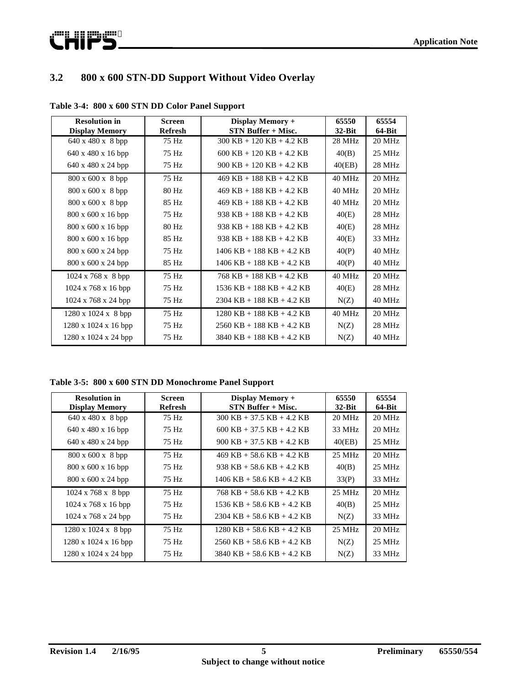

# **3.2 800 x 600 STN-DD Support Without Video Overlay**

| <b>Resolution in</b><br><b>Display Memory</b> | <b>Screen</b><br><b>Refresh</b> | Display Memory +<br><b>STN Buffer + Misc.</b> | 65550<br>$32-Bit$ | 65554<br>64-Bit |
|-----------------------------------------------|---------------------------------|-----------------------------------------------|-------------------|-----------------|
| $640 \times 480 \times 8$ bpp                 | 75 Hz                           | $300$ KB + 120 KB + 4.2 KB                    | 28 MHz            | 20 MHz          |
| $640 \times 480 \times 16$ bpp                | 75 Hz                           | $600$ KB + 120 KB + 4.2 KB                    | 40(B)             | 25 MHz          |
| 640 x 480 x 24 bpp                            | 75 Hz                           | $900$ KB + 120 KB + 4.2 KB                    | 40(EB)            | 28 MHz          |
| $800 \times 600 \times 8$ bpp                 | 75 Hz                           | $469$ KB + 188 KB + 4.2 KB                    | 40 MHz            | 20 MHz          |
| $800 \times 600 \times 8$ bpp                 | 80 Hz                           | $469$ KB + 188 KB + 4.2 KB                    | 40 MHz            | 20 MHz          |
| $800 \times 600 \times 8$ bpp                 | 85 Hz                           | $469$ KB + 188 KB + 4.2 KB                    | 40 MHz            | 20 MHz          |
| $800 \times 600 \times 16$ bpp                | 75 Hz                           | 938 KB + 188 KB + 4.2 KB                      | 40(E)             | 28 MHz          |
| $800 \times 600 \times 16$ bpp                | 80 Hz                           | 938 KB + 188 KB + 4.2 KB                      | 40(E)             | 28 MHz          |
| $800 \times 600 \times 16$ bpp                | 85 Hz                           | 938 KB + 188 KB + 4.2 KB                      | 40(E)             | 33 MHz          |
| 800 x 600 x 24 bpp                            | 75 Hz                           | $1406$ KB + 188 KB + 4.2 KB                   | 40(P)             | 40 MHz          |
| 800 x 600 x 24 bpp                            | 85 Hz                           | $1406$ KB + 188 KB + 4.2 KB                   | 40(P)             | 40 MHz          |
| $1024 \times 768 \times 8$ bpp                | 75 Hz                           | $768$ KB + 188 KB + 4.2 KB                    | 40 MHz            | 20 MHz          |
| 1024 x 768 x 16 bpp                           | 75 Hz                           | $1536$ KB + 188 KB + 4.2 KB                   | 40(E)             | 28 MHz          |
| $1024 \times 768 \times 24$ bpp               | 75 Hz                           | $2304$ KB + 188 KB + 4.2 KB                   | N(Z)              | 40 MHz          |
| $1280 \times 1024 \times 8$ bpp               | 75 Hz                           | $1280$ KB + 188 KB + 4.2 KB                   | 40 MHz            | 20 MHz          |
| $1280 \times 1024 \times 16$ bpp              | 75 Hz                           | $2560$ KB + 188 KB + 4.2 KB                   | N(Z)              | 28 MHz          |
| $1280 \times 1024 \times 24$ bpp              | 75 Hz                           | $3840$ KB + 188 KB + 4.2 KB                   | N(Z)              | 40 MHz          |

**Table 3-4: 800 x 600 STN DD Color Panel Support**

**Table 3-5: 800 x 600 STN DD Monochrome Panel Support**

| <b>Resolution in</b><br><b>Display Memory</b> | Screen<br><b>Refresh</b> | Display Memory +<br>STN Buffer + Misc. | 65550<br>$32$ -Bit | 65554<br>64-Bit  |
|-----------------------------------------------|--------------------------|----------------------------------------|--------------------|------------------|
| $640 \times 480 \times 8$ bpp                 | 75 Hz                    | $300$ KB + 37.5 KB + 4.2 KB            | $20 \text{ MHz}$   | 20 MHz           |
| $640 \times 480 \times 16$ bpp                | 75 Hz                    | $600$ KB + 37.5 KB + 4.2 KB            | 33 MHz             | $20$ MHz         |
| $640 \times 480 \times 24$ bpp                | 75 Hz                    | $900$ KB + 37.5 KB + 4.2 KB            | 40(EB)             | 25 MHz           |
| $800 \times 600 \times 8$ bpp                 | 75 Hz                    | $469$ KB + 58.6 KB + 4.2 KB            | $25 \text{ MHz}$   | $20$ MHz         |
| $800 \times 600 \times 16$ bpp                | 75 Hz                    | $938$ KB + 58.6 KB + 4.2 KB            | 40(B)              | $25 \text{ MHz}$ |
| $800 \times 600 \times 24$ bpp                | 75 Hz                    | $1406$ KB + 58.6 KB + 4.2 KB           | 33(P)              | 33 MHz           |
| $1024 \times 768 \times 8$ bpp                | 75 Hz                    | $768$ KB + 58.6 KB + 4.2 KB            | $25 \text{ MHz}$   | $20$ MHz         |
| $1024 \times 768 \times 16$ bpp               | 75 Hz                    | $1536$ KB + 58.6 KB + 4.2 KB           | 40(B)              | $25$ MHz         |
| $1024 \times 768 \times 24$ bpp               | 75 Hz                    | $2304$ KB + 58.6 KB + 4.2 KB           | N(Z)               | 33 MHz           |
| $1280 \times 1024 \times 8$ bpp               | 75 Hz                    | $1280$ KB + 58.6 KB + 4.2 KB           | $25 \text{ MHz}$   | $20$ MHz         |
| $1280 \times 1024 \times 16$ bpp              | 75 Hz                    | $2560$ KB + 58.6 KB + 4.2 KB           | N(Z)               | $25$ MHz         |
| $1280 \times 1024 \times 24$ bpp              | 75 Hz                    | $3840$ KB + 58.6 KB + 4.2 KB           | N(Z)               | 33 MHz           |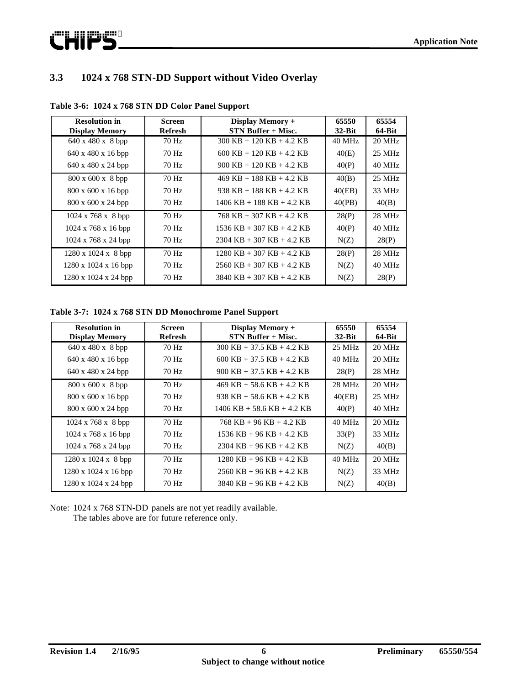

### **3.3 1024 x 768 STN-DD Support without Video Overlay**

| <b>Resolution in</b><br><b>Display Memory</b> | <b>Screen</b><br><b>Refresh</b> | <b>Display Memory +</b><br><b>STN Buffer + Misc.</b> | 65550<br>$32$ -Bit | 65554<br>$64-Bit$ |
|-----------------------------------------------|---------------------------------|------------------------------------------------------|--------------------|-------------------|
| $640 \times 480 \times 8$ bpp                 | 70 Hz                           | $300$ KB + 120 KB + 4.2 KB                           | $40$ MHz           | $20$ MHz          |
| $640 \times 480 \times 16$ bpp                | 70 Hz                           | $600$ KB + 120 KB + 4.2 KB                           | 40(E)              | 25 MHz            |
| $640 \times 480 \times 24$ bpp                | 70 Hz                           | $900 \text{ KB} + 120 \text{ KB} + 4.2 \text{ KB}$   | 40(P)              | 40 MHz            |
| $800 \times 600 \times 8$ bpp                 | 70 Hz                           | $469$ KB + 188 KB + 4.2 KB                           | 40(B)              | $25$ MHz          |
| $800 \times 600 \times 16$ bpp                | 70 Hz                           | $938$ KB + 188 KB + 4.2 KB                           | 40(EB)             | 33 MHz            |
| $800 \times 600 \times 24$ bpp                | 70 Hz                           | $1406$ KB + 188 KB + 4.2 KB                          | 40(PB)             | 40(B)             |
| $1024 \times 768 \times 8$ bpp                | 70 Hz                           | $768$ KB $+$ 307 KB $+$ 4.2 KB                       | 28(P)              | $28$ MHz          |
| $1024 \times 768 \times 16$ bpp               | 70 Hz                           | $1536$ KB $+ 307$ KB $+ 4.2$ KB                      | 40(P)              | 40 MHz            |
| $1024 \times 768 \times 24$ bpp               | 70 Hz                           | $2304$ KB + 307 KB + 4.2 KB                          | N(Z)               | 28(P)             |
| $1280 \times 1024 \times 8$ bpp               | 70 Hz                           | $1280$ KB + 307 KB + 4.2 KB                          | 28(P)              | 28 MHz            |
| $1280 \times 1024 \times 16$ bpp              | 70 Hz                           | $2560$ KB + 307 KB + 4.2 KB                          | N(Z)               | 40 MHz            |
| $1280 \times 1024 \times 24$ bpp              | 70 Hz                           | $3840$ KB + 307 KB + 4.2 KB                          | N(Z)               | 28(P)             |

**Table 3-6: 1024 x 768 STN DD Color Panel Support**

**Table 3-7: 1024 x 768 STN DD Monochrome Panel Support**

| <b>Resolution in</b><br><b>Display Memory</b> | <b>Screen</b><br>Refresh | Display Memory +<br>STN Buffer + Misc.              | 65550<br>$32$ -Bit | 65554<br>64-Bit |
|-----------------------------------------------|--------------------------|-----------------------------------------------------|--------------------|-----------------|
| $640 \times 480 \times 8$ bpp                 | 70 Hz                    | $300$ KB + 37.5 KB + 4.2 KB                         | $25 \text{ MHz}$   | 20 MHz          |
| $640 \times 480 \times 16$ bpp                | 70 Hz                    | $600$ KB + 37.5 KB + 4.2 KB                         | $40$ MHz           | $20$ MHz        |
| $640 \times 480 \times 24$ bpp                | 70 Hz                    | $900 \text{ KB} + 37.5 \text{ KB} + 4.2 \text{ KB}$ | 28(P)              | $28$ MHz        |
| 800 x 600 x 8 bpp                             | 70 Hz                    | $469$ KB + 58.6 KB + 4.2 KB                         | 28 MHz             | $20$ MHz        |
| $800 \times 600 \times 16$ bpp                | 70 Hz                    | 938 KB + 58.6 KB + 4.2 KB                           | 40(EB)             | $25$ MHz        |
| $800 \times 600 \times 24$ bpp                | 70 Hz                    | $1406$ KB + 58.6 KB + 4.2 KB                        | 40(P)              | 40 MHz          |
| $1024 \times 768 \times 8$ bpp                | 70 Hz                    | $768$ KB + 96 KB + 4.2 KB                           | $40$ MHz           | $20$ MHz        |
| $1024 \times 768 \times 16$ bpp               | 70 Hz                    | $1536$ KB + 96 KB + 4.2 KB                          | 33(P)              | 33 MHz          |
| $1024 \times 768 \times 24$ bpp               | 70 Hz                    | $2304$ KB + 96 KB + 4.2 KB                          | N(Z)               | 40(B)           |
| $1280 \times 1024 \times 8$ bpp               | 70 Hz                    | $1280$ KB + 96 KB + 4.2 KB                          | $40$ MHz           | 20 MHz          |
| $1280 \times 1024 \times 16$ bpp              | 70 Hz                    | $2560$ KB + 96 KB + 4.2 KB                          | N(Z)               | 33 MHz          |
| $1280 \times 1024 \times 24$ bpp              | 70 Hz                    | $3840$ KB + 96 KB + 4.2 KB                          | N(Z)               | 40(B)           |

Note: 1024 x 768 STN-DD panels are not yet readily available. The tables above are for future reference only.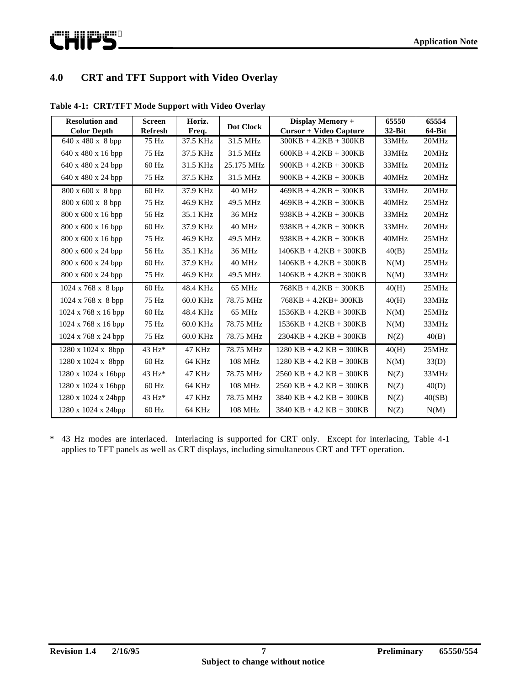# **4.0 CRT and TFT Support with Video Overlay**

| <b>Resolution and</b><br><b>Color Depth</b> | <b>Screen</b><br><b>Refresh</b> | Horiz.<br>Freq. | <b>Dot Clock</b> | Display Memory +<br><b>Cursor + Video Capture</b> | 65550<br>$32$ -Bit | 65554<br>64-Bit |
|---------------------------------------------|---------------------------------|-----------------|------------------|---------------------------------------------------|--------------------|-----------------|
| 640 x 480 x 8 bpp                           | 75 Hz                           | 37.5 KHz        | 31.5 MHz         | $300KB + 4.2KB + 300KB$                           | 33MHz              | 20MHz           |
| 640 x 480 x 16 bpp                          | 75 Hz                           | 37.5 KHz        | 31.5 MHz         | $600KB + 4.2KB + 300KB$                           | 33MHz              | 20MHz           |
| 640 x 480 x 24 bpp                          | $60$ Hz                         | 31.5 KHz        | 25.175 MHz       | $900KB + 4.2KB + 300KB$                           | 33MHz              | 20MHz           |
| 640 x 480 x 24 bpp                          | 75 Hz                           | 37.5 KHz        | 31.5 MHz         | $900KB + 4.2KB + 300KB$                           | 40MHz              | 20MHz           |
| $800 \times 600 \times 8$ bpp               | $60$ Hz                         | 37.9 KHz        | 40 MHz           | $469KB + 4.2KB + 300KB$                           | 33MHz              | 20MHz           |
| 800 x 600 x 8 bpp                           | 75 Hz                           | 46.9 KHz        | 49.5 MHz         | $469KB + 4.2KB + 300KB$                           | 40MHz              | 25MHz           |
| $800 \times 600 \times 16$ bpp              | 56 Hz                           | 35.1 KHz        | 36 MHz           | $938KB + 4.2KB + 300KB$                           | 33MHz              | 20MHz           |
| 800 x 600 x 16 bpp                          | $60$ Hz                         | 37.9 KHz        | 40 MHz           | $938KB + 4.2KB + 300KB$                           | 33MHz              | 20MHz           |
| 800 x 600 x 16 bpp                          | 75 Hz                           | 46.9 KHz        | 49.5 MHz         | $938KB + 4.2KB + 300KB$                           | 40MHz              | 25MHz           |
| 800 x 600 x 24 bpp                          | 56 Hz                           | 35.1 KHz        | 36 MHz           | $1406KB + 4.2KB + 300KB$                          | 40(B)              | 25MHz           |
| 800 x 600 x 24 bpp                          | $60$ Hz                         | 37.9 KHz        | 40 MHz           | $1406KB + 4.2KB + 300KB$                          | N(M)               | 25MHz           |
| 800 x 600 x 24 bpp                          | 75 Hz                           | 46.9 KHz        | 49.5 MHz         | $1406KB + 4.2KB + 300KB$                          | N(M)               | 33MHz           |
| $1024 \times 768 \times 8$ bpp              | 60 Hz                           | 48.4 KHz        | 65 MHz           | $768KB + 4.2KB + 300KB$                           | 40(H)              | 25MHz           |
| $1024 \times 768 \times 8$ bpp              | 75 Hz                           | 60.0 KHz        | 78.75 MHz        | $768KB + 4.2KB + 300KB$                           | 40(H)              | 33MHz           |
| $1024 \times 768 \times 16$ bpp             | $60$ Hz                         | 48.4 KHz        | 65 MHz           | $1536KB + 4.2KB + 300KB$                          | N(M)               | 25MHz           |
| $1024 \times 768 \times 16$ bpp             | 75 Hz                           | 60.0 KHz        | 78.75 MHz        | $1536KB + 4.2KB + 300KB$                          | N(M)               | 33MHz           |
| 1024 x 768 x 24 bpp                         | 75 Hz                           | 60.0 KHz        | 78.75 MHz        | $2304KB + 4.2KB + 300KB$                          | N(Z)               | 40(B)           |
| $1280 \times 1024 \times 8bp$               | 43 Hz*                          | 47 KHz          | 78.75 MHz        | $1280$ KB + 4.2 KB + 300KB                        | 40(H)              | 25MHz           |
| 1280 x 1024 x 8bpp                          | $60$ Hz                         | 64 KHz          | 108 MHz          | $1280$ KB + 4.2 KB + 300KB                        | N(M)               | 33(D)           |
| 1280 x 1024 x 16bpp                         | $43 Hz*$                        | 47 KHz          | 78.75 MHz        | $2560$ KB + 4.2 KB + 300KB                        | N(Z)               | 33MHz           |
| 1280 x 1024 x 16bpp                         | $60$ Hz                         | 64 KHz          | 108 MHz          | $2560$ KB + 4.2 KB + 300KB                        | N(Z)               | 40(D)           |
| 1280 x 1024 x 24bpp                         | $43 Hz*$                        | 47 KHz          | 78.75 MHz        | $3840$ KB + 4.2 KB + 300KB                        | N(Z)               | 40(SB)          |
| 1280 x 1024 x 24bpp                         | $60$ Hz                         | 64 KHz          | 108 MHz          | $3840$ KB + 4.2 KB + 300KB                        | N(Z)               | N(M)            |

**Table 4-1: CRT/TFT Mode Support with Video Overlay**

\* 43 Hz modes are interlaced. Interlacing is supported for CRT only. Except for interlacing, Table 4-1 applies to TFT panels as well as CRT displays, including simultaneous CRT and TFT operation.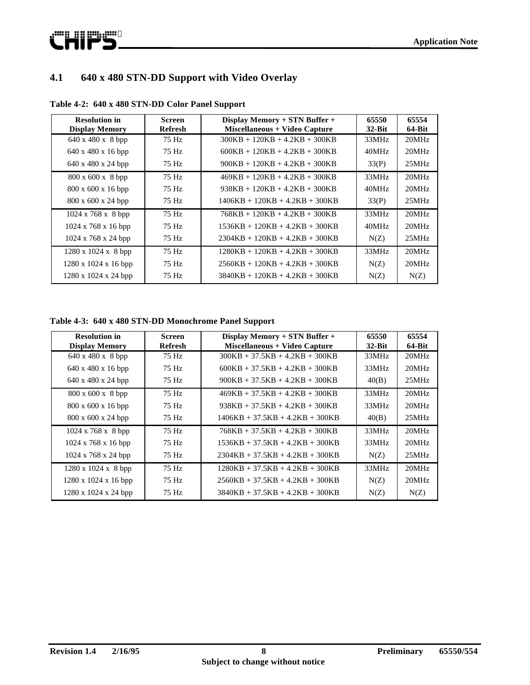

# **4.1 640 x 480 STN-DD Support with Video Overlay**

| <b>Resolution in</b><br><b>Display Memory</b> | <b>Screen</b><br><b>Refresh</b> | Display Memory + STN Buffer +<br>Miscellaneous + Video Capture | 65550<br>$32$ -Bit | 65554<br>64-Bit |
|-----------------------------------------------|---------------------------------|----------------------------------------------------------------|--------------------|-----------------|
| $640 \times 480 \times 8$ bpp                 | 75 Hz                           | $300KB + 120KB + 4.2KB + 300KB$                                | 33MHz              | 20MHz           |
| $640 \times 480 \times 16$ bpp                | 75 Hz                           | $600KB + 120KB + 4.2KB + 300KB$                                | 40MHz              | 20MHz           |
| $640 \times 480 \times 24$ bpp                | 75 Hz                           | $900KB + 120KB + 4.2KB + 300KB$                                | 33(P)              | 25MHz           |
| $800 \times 600 \times 8$ bpp                 | 75 Hz                           | $469KB + 120KB + 4.2KB + 300KB$                                | 33MHz              | 20MHz           |
| $800 \times 600 \times 16$ bpp                | 75 Hz                           | $938KB + 120KB + 4.2KB + 300KB$                                | 40MHz              | 20MHz           |
| 800 x 600 x 24 bpp                            | 75 Hz                           | $1406KB + 120KB + 4.2KB + 300KB$                               | 33(P)              | 25MHz           |
| $1024 \times 768 \times 8$ bpp                | 75 Hz                           | $768KB + 120KB + 4.2KB + 300KB$                                | 33MHz              | 20MHz           |
| $1024 \times 768 \times 16$ bpp               | 75 Hz                           | $1536KB + 120KB + 4.2KB + 300KB$                               | 40MHz              | 20MHz           |
| $1024 \times 768 \times 24$ bpp               | 75 Hz                           | $2304KB + 120KB + 4.2KB + 300KB$                               | N(Z)               | 25MHz           |
| $1280 \times 1024 \times 8$ bpp               | 75 Hz                           | $1280KB + 120KB + 4.2KB + 300KB$                               | 33MHz              | 20MHz           |
| $1280 \times 1024 \times 16$ bpp              | 75 Hz                           | $2560KB + 120KB + 4.2KB + 300KB$                               | N(Z)               | 20MHz           |
| $1280 \times 1024 \times 24$ bpp              | 75 Hz                           | $3840KB + 120KB + 4.2KB + 300KB$                               | N(Z)               | N(Z)            |

**Table 4-2: 640 x 480 STN-DD Color Panel Support**

| <b>Resolution in</b><br><b>Display Memory</b> | <b>Screen</b><br><b>Refresh</b> | Display Memory + STN Buffer +<br>Miscellaneous + Video Capture | 65550<br>$32-Hit$ | 65554<br>$64-Bit$ |
|-----------------------------------------------|---------------------------------|----------------------------------------------------------------|-------------------|-------------------|
| $640 \times 480 \times 8$ bpp                 | 75 Hz                           | $300KB + 37.5KB + 4.2KB + 300KB$                               | 33MHz             | 20MHz             |
| $640 \times 480 \times 16$ bpp                | 75 Hz                           | $600KB + 37.5KB + 4.2KB + 300KB$                               | 33MHz             | 20MHz             |
| $640 \times 480 \times 24$ bpp                | 75 Hz                           | $900KB + 37.5KB + 4.2KB + 300KB$                               | 40(B)             | 25MHz             |
| 800 x 600 x 8 bpp                             | 75 Hz                           | $469KB + 37.5KB + 4.2KB + 300KB$                               | 33MHz             | 20MHz             |
| $800 \times 600 \times 16$ bpp                | 75 Hz                           | $938KB + 37.5KB + 4.2KB + 300KB$                               | 33MHz             | 20MHz             |
| $800 \times 600 \times 24$ bpp                | 75 Hz                           | $1406KB + 37.5KB + 4.2KB + 300KB$                              | 40(B)             | 25MHz             |
| $1024 \times 768 \times 8$ bpp                | 75 Hz                           | $768KB + 37.5KB + 4.2KB + 300KB$                               | 33MHz             | 20MHz             |
| $1024 \times 768 \times 16$ bpp               | 75 Hz                           | $1536KB + 37.5KB + 4.2KB + 300KB$                              | 33MHz             | 20MHz             |
| $1024 \times 768 \times 24$ bpp               | 75 Hz                           | $2304KB + 37.5KB + 4.2KB + 300KB$                              | N(Z)              | 25MHz             |
| $1280 \times 1024 \times 8$ bpp               | 75 Hz                           | $1280KB + 37.5KB + 4.2KB + 300KB$                              | 33MHz             | 20MHz             |
| $1280 \times 1024 \times 16$ bpp              | 75 Hz                           | $2560KB + 37.5KB + 4.2KB + 300KB$                              | N(Z)              | 20MHz             |
| $1280 \times 1024 \times 24$ bpp              | 75 Hz                           | $3840KB + 37.5KB + 4.2KB + 300KB$                              | N(Z)              | N(Z)              |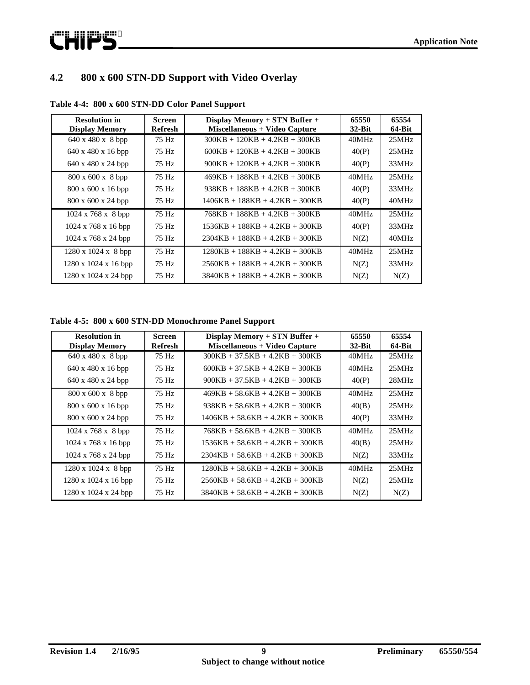

# **4.2 800 x 600 STN-DD Support with Video Overlay**

| <b>Resolution in</b><br><b>Display Memory</b> | <b>Screen</b><br><b>Refresh</b> | Display Memory + STN Buffer +<br>Miscellaneous + Video Capture | 65550<br>$32$ -Bit | 65554<br>$64-Bit$ |
|-----------------------------------------------|---------------------------------|----------------------------------------------------------------|--------------------|-------------------|
| $640 \times 480 \times 8$ bpp                 | 75 Hz                           | $300KB + 120KB + 4.2KB + 300KB$                                | 40MHz              | 25MHz             |
| $640 \times 480 \times 16$ bpp                | 75 Hz                           | $600KB + 120KB + 4.2KB + 300KB$                                | 40(P)              | 25MHz             |
| 640 x 480 x 24 bpp                            | 75 Hz                           | $900KB + 120KB + 4.2KB + 300KB$                                | 40(P)              | 33MHz             |
| $800 \times 600 \times 8$ bpp                 | 75 Hz                           | $469KB + 188KB + 4.2KB + 300KB$                                | 40MHz              | 25MHz             |
| $800 \times 600 \times 16$ bpp                | 75 Hz                           | $938KB + 188KB + 4.2KB + 300KB$                                | 40(P)              | 33MHz             |
| $800 \times 600 \times 24$ bpp                | 75 Hz                           | $1406KB + 188KB + 4.2KB + 300KB$                               | 40(P)              | 40MHz             |
| $1024 \times 768 \times 8$ bpp                | 75 Hz                           | $768KB + 188KB + 4.2KB + 300KB$                                | 40MHz              | 25MHz             |
| $1024 \times 768 \times 16$ bpp               | 75 Hz                           | $1536KB + 188KB + 4.2KB + 300KB$                               | 40(P)              | 33MHz             |
| $1024 \times 768 \times 24$ bpp               | 75 Hz                           | $2304KB + 188KB + 4.2KB + 300KB$                               | N(Z)               | 40MHz             |
| $1280 \times 1024 \times 8$ bpp               | 75 Hz                           | $1280KB + 188KB + 4.2KB + 300KB$                               | 40MHz              | 25MHz             |
| $1280 \times 1024 \times 16$ bpp              | 75 Hz                           | $2560KB + 188KB + 4.2KB + 300KB$                               | N(Z)               | 33MHz             |
| $1280 \times 1024 \times 24$ bpp              | 75 Hz                           | $3840KB + 188KB + 4.2KB + 300KB$                               | N(Z)               | N(Z)              |

**Table 4-4: 800 x 600 STN-DD Color Panel Support**

**Table 4-5: 800 x 600 STN-DD Monochrome Panel Support**

| <b>Resolution in</b><br><b>Display Memory</b> | <b>Screen</b><br>Refresh | Display Memory + STN Buffer +<br>Miscellaneous + Video Capture | 65550<br>$32$ -Bit | 65554<br>64-Bit |
|-----------------------------------------------|--------------------------|----------------------------------------------------------------|--------------------|-----------------|
| $640 \times 480 \times 8$ bpp                 | 75 Hz                    | $300KB + 37.5KB + 4.2KB + 300KB$                               | 40MHz              | 25MHz           |
| 640 x 480 x 16 bpp                            | 75 Hz                    | $600KB + 37.5KB + 4.2KB + 300KB$                               | 40MHz              | 25MHz           |
| $640 \times 480 \times 24$ bpp                | 75 Hz                    | $900KB + 37.5KB + 4.2KB + 300KB$                               | 40(P)              | 28MHz           |
| $800 \times 600 \times 8$ bpp                 | 75 Hz                    | $469KB + 58.6KB + 4.2KB + 300KB$                               | 40MHz              | 25MHz           |
| $800 \times 600 \times 16$ bpp                | 75 Hz                    | $938KB + 58.6KB + 4.2KB + 300KB$                               | 40(B)              | 25MHz           |
| $800 \times 600 \times 24$ bpp                | 75 Hz                    | $1406KB + 58.6KB + 4.2KB + 300KB$                              | 40(P)              | 33MHz           |
| $1024 \times 768 \times 8$ bpp                | 75 Hz                    | $768KB + 58.6KB + 4.2KB + 300KB$                               | 40MHz              | 25MHz           |
| $1024 \times 768 \times 16$ bpp               | 75 Hz                    | $1536KB + 58.6KB + 4.2KB + 300KB$                              | 40(B)              | 25MHz           |
| 1024 x 768 x 24 bpp                           | 75 Hz                    | $2304KB + 58.6KB + 4.2KB + 300KB$                              | N(Z)               | 33MHz           |
| $1280 \times 1024 \times 8$ bpp               | 75 Hz                    | $1280KB + 58.6KB + 4.2KB + 300KB$                              | 40MHz              | 25MHz           |
| $1280 \times 1024 \times 16$ bpp              | 75 Hz                    | $2560KB + 58.6KB + 4.2KB + 300KB$                              | N(Z)               | 25MHz           |
| $1280 \times 1024 \times 24$ bpp              | 75 Hz                    | $3840KB + 58.6KB + 4.2KB + 300KB$                              | N(Z)               | N(Z)            |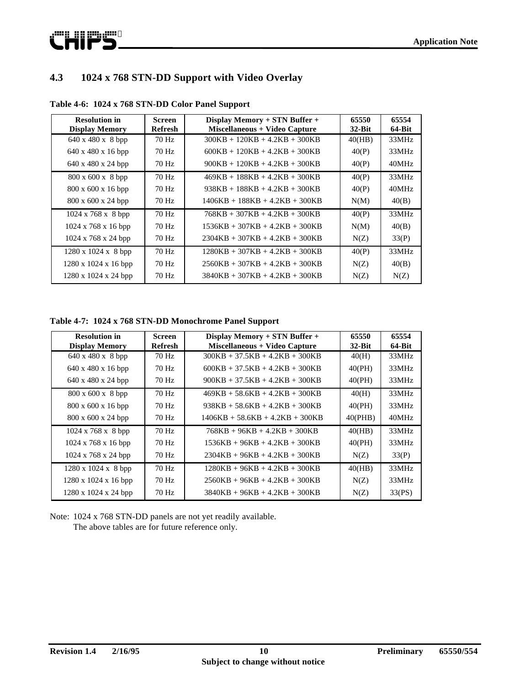

### **4.3 1024 x 768 STN-DD Support with Video Overlay**

| <b>Resolution in</b><br><b>Display Memory</b> | <b>Screen</b><br>Refresh | Display Memory + STN Buffer +<br>Miscellaneous + Video Capture | 65550<br>$32$ -Bit | 65554<br>$64-Bit$ |
|-----------------------------------------------|--------------------------|----------------------------------------------------------------|--------------------|-------------------|
| $640 \times 480 \times 8$ bpp                 | 70 Hz                    | $300KB + 120KB + 4.2KB + 300KB$                                | 40(HB)             | 33MHz             |
| $640 \times 480 \times 16$ bpp                | 70 Hz                    | $600KB + 120KB + 4.2KB + 300KB$                                | 40(P)              | 33MHz             |
| $640 \times 480 \times 24$ bpp                | 70 Hz                    | $900KB + 120KB + 4.2KB + 300KB$                                | 40(P)              | 40MHz             |
| 800 x 600 x 8 bpp                             | 70 Hz                    | $469KB + 188KB + 4.2KB + 300KB$                                | 40(P)              | 33MHz             |
| $800 \times 600 \times 16$ bpp                | 70 Hz                    | $938KB + 188KB + 4.2KB + 300KB$                                | 40(P)              | 40MHz             |
| $800 \times 600 \times 24$ bpp                | 70 Hz                    | $1406KB + 188KB + 4.2KB + 300KB$                               | N(M)               | 40(B)             |
| $1024 \times 768 \times 8$ bpp                | 70 Hz                    | $768KB + 307KB + 4.2KB + 300KB$                                | 40(P)              | 33MHz             |
| $1024 \times 768 \times 16$ bpp               | 70 Hz                    | $1536KB + 307KB + 4.2KB + 300KB$                               | N(M)               | 40(B)             |
| $1024 \times 768 \times 24$ bpp               | 70 Hz                    | $2304KB + 307KB + 4.2KB + 300KB$                               | N(Z)               | 33(P)             |
| $1280 \times 1024 \times 8$ bpp               | 70 Hz                    | $1280KB + 307KB + 4.2KB + 300KB$                               | 40(P)              | 33MHz             |
| 1280 x 1024 x 16 bpp                          | 70 Hz                    | $2560KB + 307KB + 4.2KB + 300KB$                               | N(Z)               | 40(B)             |
| 1280 x 1024 x 24 bpp                          | 70 Hz                    | $3840KB + 307KB + 4.2KB + 300KB$                               | N(Z)               | N(Z)              |

**Table 4-6: 1024 x 768 STN-DD Color Panel Support**

**Table 4-7: 1024 x 768 STN-DD Monochrome Panel Support**

| <b>Resolution in</b><br><b>Display Memory</b> | <b>Screen</b><br><b>Refresh</b> | Display Memory + STN Buffer +<br>Miscellaneous + Video Capture | 65550<br>$32-Hit$ | 65554<br>$64-Bit$ |
|-----------------------------------------------|---------------------------------|----------------------------------------------------------------|-------------------|-------------------|
| $640 \times 480 \times 8$ bpp                 | 70 Hz                           | $300KB + 37.5KB + 4.2KB + 300KB$                               | 40(H)             | 33MHz             |
| 640 x 480 x 16 bpp                            | 70 Hz                           | $600KB + 37.5KB + 4.2KB + 300KB$                               | 40(PH)            | 33MHz             |
| $640 \times 480 \times 24$ bpp                | 70 Hz                           | $900KB + 37.5KB + 4.2KB + 300KB$                               | 40(PH)            | 33MHz             |
| 800 x 600 x 8 bpp                             | 70 Hz                           | $469KB + 58.6KB + 4.2KB + 300KB$                               | 40(H)             | 33MHz             |
| $800 \times 600 \times 16$ bpp                | 70 Hz                           | $938KB + 58.6KB + 4.2KB + 300KB$                               | 40(PH)            | 33MHz             |
| $800 \times 600 \times 24$ bpp                | 70 Hz                           | $1406KB + 58.6KB + 4.2KB + 300KB$                              | 40(PHB)           | 40MHz             |
| $1024 \times 768 \times 8$ bpp                | $70$ Hz                         | $768KB + 96KB + 4.2KB + 300KB$                                 | 40(HB)            | 33MHz             |
| $1024 \times 768 \times 16$ bpp               | 70 Hz                           | $1536KB + 96KB + 4.2KB + 300KB$                                | 40(PH)            | 33MHz             |
| $1024 \times 768 \times 24$ bpp               | 70 Hz                           | $2304KB + 96KB + 4.2KB + 300KB$                                | N(Z)              | 33(P)             |
| 1280 x 1024 x 8 bpp                           | 70 Hz                           | $1280KB + 96KB + 4.2KB + 300KB$                                | 40(HB)            | 33MHz             |
| $1280 \times 1024 \times 16$ bpp              | 70 Hz                           | $2560KB + 96KB + 4.2KB + 300KB$                                | N(Z)              | 33MHz             |
| $1280 \times 1024 \times 24$ bpp              | 70 Hz                           | $3840KB + 96KB + 4.2KB + 300KB$                                | N(Z)              | 33(PS)            |

Note: 1024 x 768 STN-DD panels are not yet readily available. The above tables are for future reference only.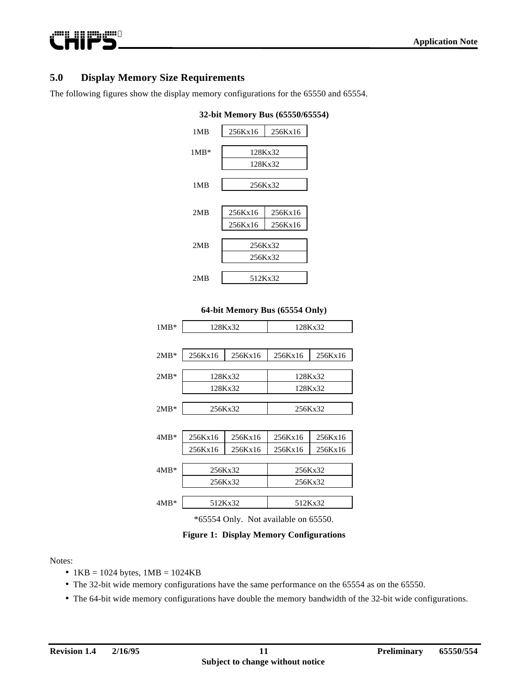### **5.0 Display Memory Size Requirements**

**Publication State** 

The following figures show the display memory configurations for the 65550 and 65554.



#### **32-bit Memory Bus (65550/65554)**



| 128Kx32 |         |                               | 128Kx32 |
|---------|---------|-------------------------------|---------|
|         |         |                               |         |
| 256Kx16 | 256Kx16 | 256Kx16                       | 256Kx16 |
|         |         |                               |         |
|         |         |                               |         |
|         |         |                               | 128Kx32 |
|         |         |                               |         |
| 256Kx32 |         | 256Kx32                       |         |
|         |         |                               |         |
| 256Kx16 | 256Kx16 | 256Kx16                       | 256Kx16 |
| 256Kx16 | 256Kx16 | 256Kx16                       | 256Kx16 |
|         |         |                               |         |
| 256Kx32 |         | 256Kx32                       |         |
| 256Kx32 |         | 256Kx32                       |         |
|         |         |                               |         |
|         |         | 512Kx32                       |         |
|         |         | 128Kx32<br>128Kx32<br>512Kx32 | 128Kx32 |

\*65554 Only. Not available on 65550.

**Figure 1: Display Memory Configurations**

#### Notes:

- $1KB = 1024$  bytes,  $1MB = 1024KB$
- The 32-bit wide memory configurations have the same performance on the 65554 as on the 65550.
- The 64-bit wide memory configurations have double the memory bandwidth of the 32-bit wide configurations.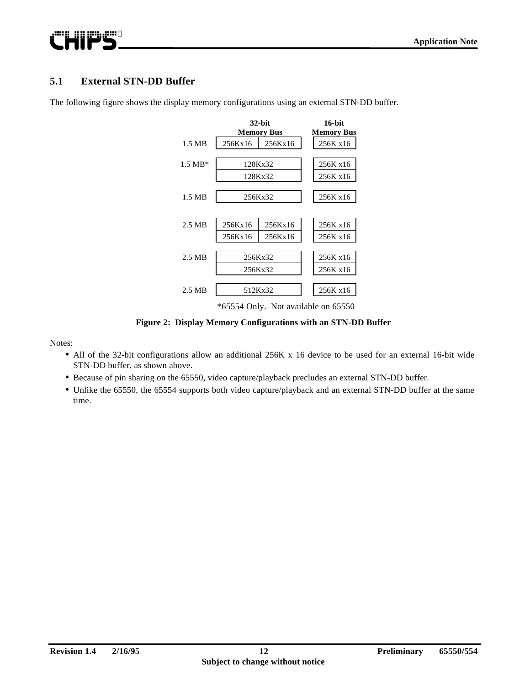# @WQqqVQQ QUAL;

### **5.1 External STN-DD Buffer**



The following figure shows the display memory configurations using an external STN-DD buffer.

**Figure 2: Display Memory Configurations with an STN-DD Buffer**

Notes:

- All of the 32-bit configurations allow an additional 256K x 16 device to be used for an external 16-bit wide STN-DD buffer, as shown above.
- **•** Because of pin sharing on the 65550, video capture/playback precludes an external STN-DD buffer.
- **•** Unlike the 65550, the 65554 supports both video capture/playback and an external STN-DD buffer at the same time.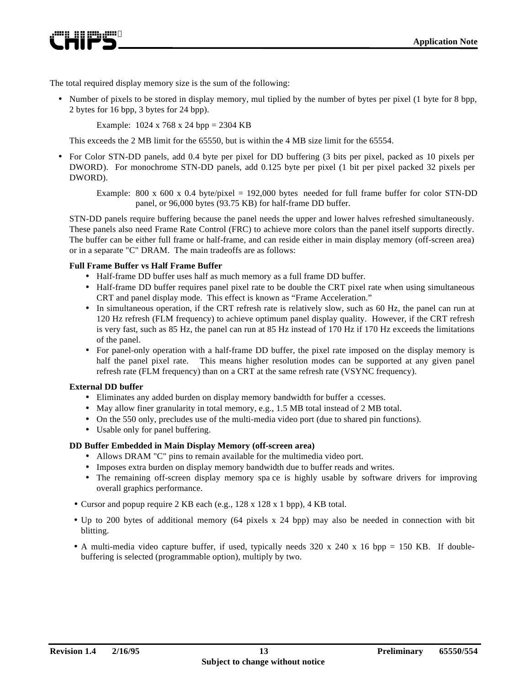ewn nn meir

The total required display memory size is the sum of the following:

• Number of pixels to be stored in display memory, mul tiplied by the number of bytes per pixel (1 byte for 8 bpp, 2 bytes for 16 bpp, 3 bytes for 24 bpp).

Example: 1024 x 768 x 24 bpp = 2304 KB

This exceeds the 2 MB limit for the 65550, but is within the 4 MB size limit for the 65554.

• For Color STN-DD panels, add 0.4 byte per pixel for DD buffering (3 bits per pixel, packed as 10 pixels per DWORD). For monochrome STN-DD panels, add 0.125 byte per pixel (1 bit per pixel packed 32 pixels per DWORD).

Example: 800 x 600 x 0.4 byte/pixel = 192,000 bytes needed for full frame buffer for color STN-DD panel, or 96,000 bytes (93.75 KB) for half-frame DD buffer.

STN-DD panels require buffering because the panel needs the upper and lower halves refreshed simultaneously. These panels also need Frame Rate Control (FRC) to achieve more colors than the panel itself supports directly. The buffer can be either full frame or half-frame, and can reside either in main display memory (off-screen area) or in a separate "C" DRAM. The main tradeoffs are as follows:

#### **Full Frame Buffer vs Half Frame Buffer**

- Half-frame DD buffer uses half as much memory as a full frame DD buffer.
- Half-frame DD buffer requires panel pixel rate to be double the CRT pixel rate when using simultaneous CRT and panel display mode. This effect is known as "Frame Acceleration."
- In simultaneous operation, if the CRT refresh rate is relatively slow, such as 60 Hz, the panel can run at 120 Hz refresh (FLM frequency) to achieve optimum panel display quality. However, if the CRT refresh is very fast, such as 85 Hz, the panel can run at 85 Hz instead of 170 Hz if 170 Hz exceeds the limitations of the panel.
- For panel-only operation with a half-frame DD buffer, the pixel rate imposed on the display memory is half the panel pixel rate. This means higher resolution modes can be supported at any given panel refresh rate (FLM frequency) than on a CRT at the same refresh rate (VSYNC frequency).

#### **External DD buffer**

- Eliminates any added burden on display memory bandwidth for buffer a ccesses.
- May allow finer granularity in total memory, e.g., 1.5 MB total instead of 2 MB total.
- On the 550 only, precludes use of the multi-media video port (due to shared pin functions).
- Usable only for panel buffering.

#### **DD Buffer Embedded in Main Display Memory (off-screen area)**

- Allows DRAM "C" pins to remain available for the multimedia video port.
- Imposes extra burden on display memory bandwidth due to buffer reads and writes.
- The remaining off-screen display memory spa ce is highly usable by software drivers for improving overall graphics performance.
- Cursor and popup require 2 KB each (e.g., 128 x 128 x 1 bpp), 4 KB total.
- Up to 200 bytes of additional memory (64 pixels x 24 bpp) may also be needed in connection with bit blitting.
- A multi-media video capture buffer, if used, typically needs 320 x 240 x 16 bpp = 150 KB. If doublebuffering is selected (programmable option), multiply by two.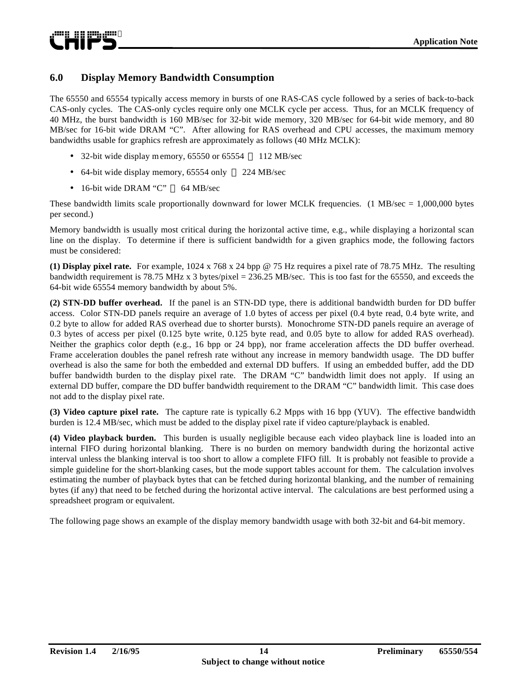#### **6.0 Display Memory Bandwidth Consumption**

The 65550 and 65554 typically access memory in bursts of one RAS-CAS cycle followed by a series of back-to-back CAS-only cycles. The CAS-only cycles require only one MCLK cycle per access. Thus, for an MCLK frequency of 40 MHz, the burst bandwidth is 160 MB/sec for 32-bit wide memory, 320 MB/sec for 64-bit wide memory, and 80 MB/sec for 16-bit wide DRAM "C". After allowing for RAS overhead and CPU accesses, the maximum memory bandwidths usable for graphics refresh are approximately as follows (40 MHz MCLK):

- 32-bit wide display memory,  $65550$  or  $65554 112$  MB/sec
- 64-bit wide display memory, 65554 only  $-224$  MB/sec
- $\bullet$  16-bit wide DRAM "C"  $-$  64 MB/sec

These bandwidth limits scale proportionally downward for lower MCLK frequencies. (1 MB/sec  $= 1,000,000$  bytes per second.)

Memory bandwidth is usually most critical during the horizontal active time, e.g., while displaying a horizontal scan line on the display. To determine if there is sufficient bandwidth for a given graphics mode, the following factors must be considered:

**(1) Display pixel rate.** For example, 1024 x 768 x 24 bpp @ 75 Hz requires a pixel rate of 78.75 MHz. The resulting bandwidth requirement is 78.75 MHz x 3 bytes/pixel = 236.25 MB/sec. This is too fast for the 65550, and exceeds the 64-bit wide 65554 memory bandwidth by about 5%.

**(2) STN-DD buffer overhead.** If the panel is an STN-DD type, there is additional bandwidth burden for DD buffer access. Color STN-DD panels require an average of 1.0 bytes of access per pixel (0.4 byte read, 0.4 byte write, and 0.2 byte to allow for added RAS overhead due to shorter bursts). Monochrome STN-DD panels require an average of 0.3 bytes of access per pixel (0.125 byte write, 0.125 byte read, and 0.05 byte to allow for added RAS overhead). Neither the graphics color depth (e.g., 16 bpp or 24 bpp), nor frame acceleration affects the DD buffer overhead. Frame acceleration doubles the panel refresh rate without any increase in memory bandwidth usage. The DD buffer overhead is also the same for both the embedded and external DD buffers. If using an embedded buffer, add the DD buffer bandwidth burden to the display pixel rate. The DRAM "C" bandwidth limit does not apply. If using an external DD buffer, compare the DD buffer bandwidth requirement to the DRAM "C" bandwidth limit. This case does not add to the display pixel rate.

**(3) Video capture pixel rate.** The capture rate is typically 6.2 Mpps with 16 bpp (YUV). The effective bandwidth burden is 12.4 MB/sec, which must be added to the display pixel rate if video capture/playback is enabled.

**(4) Video playback burden.** This burden is usually negligible because each video playback line is loaded into an internal FIFO during horizontal blanking. There is no burden on memory bandwidth during the horizontal active interval unless the blanking interval is too short to allow a complete FIFO fill. It is probably not feasible to provide a simple guideline for the short-blanking cases, but the mode support tables account for them. The calculation involves estimating the number of playback bytes that can be fetched during horizontal blanking, and the number of remaining bytes (if any) that need to be fetched during the horizontal active interval. The calculations are best performed using a spreadsheet program or equivalent.

The following page shows an example of the display memory bandwidth usage with both 32-bit and 64-bit memory.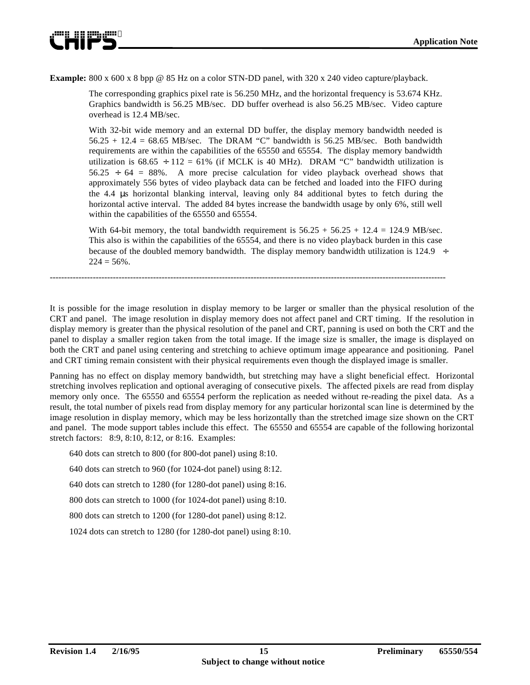

**Example:** 800 x 600 x 8 bpp @ 85 Hz on a color STN-DD panel, with 320 x 240 video capture/playback.

The corresponding graphics pixel rate is 56.250 MHz, and the horizontal frequency is 53.674 KHz. Graphics bandwidth is 56.25 MB/sec. DD buffer overhead is also 56.25 MB/sec. Video capture overhead is 12.4 MB/sec.

With 32-bit wide memory and an external DD buffer, the display memory bandwidth needed is  $56.25 + 12.4 = 68.65 \text{ MB/sec}$ . The DRAM "C" bandwidth is  $56.25 \text{ MB/sec}$ . Both bandwidth requirements are within the capabilities of the 65550 and 65554. The display memory bandwidth utilization is  $68.65 \div 112 = 61\%$  (if MCLK is 40 MHz). DRAM "C" bandwidth utilization is  $56.25 \div 64 = 88\%$ . A more precise calculation for video playback overhead shows that approximately 556 bytes of video playback data can be fetched and loaded into the FIFO during the 4.4 μs horizontal blanking interval, leaving only 84 additional bytes to fetch during the horizontal active interval. The added 84 bytes increase the bandwidth usage by only 6%, still well within the capabilities of the 65550 and 65554.

With 64-bit memory, the total bandwidth requirement is  $56.25 + 56.25 + 12.4 = 124.9$  MB/sec. This also is within the capabilities of the 65554, and there is no video playback burden in this case because of the doubled memory bandwidth. The display memory bandwidth utilization is 124.9  $\div$  $224 = 56\%$ .

It is possible for the image resolution in display memory to be larger or smaller than the physical resolution of the CRT and panel. The image resolution in display memory does not affect panel and CRT timing. If the resolution in display memory is greater than the physical resolution of the panel and CRT, panning is used on both the CRT and the panel to display a smaller region taken from the total image. If the image size is smaller, the image is displayed on both the CRT and panel using centering and stretching to achieve optimum image appearance and positioning. Panel and CRT timing remain consistent with their physical requirements even though the displayed image is smaller.

------------------------------------------------------------------------------------------------------------------------------------------

Panning has no effect on display memory bandwidth, but stretching may have a slight beneficial effect. Horizontal stretching involves replication and optional averaging of consecutive pixels. The affected pixels are read from display memory only once. The 65550 and 65554 perform the replication as needed without re-reading the pixel data. As a result, the total number of pixels read from display memory for any particular horizontal scan line is determined by the image resolution in display memory, which may be less horizontally than the stretched image size shown on the CRT and panel. The mode support tables include this effect. The 65550 and 65554 are capable of the following horizontal stretch factors: 8:9, 8:10, 8:12, or 8:16. Examples:

640 dots can stretch to 800 (for 800-dot panel) using 8:10.

640 dots can stretch to 960 (for 1024-dot panel) using 8:12.

640 dots can stretch to 1280 (for 1280-dot panel) using 8:16.

800 dots can stretch to 1000 (for 1024-dot panel) using 8:10.

800 dots can stretch to 1200 (for 1280-dot panel) using 8:12.

1024 dots can stretch to 1280 (for 1280-dot panel) using 8:10.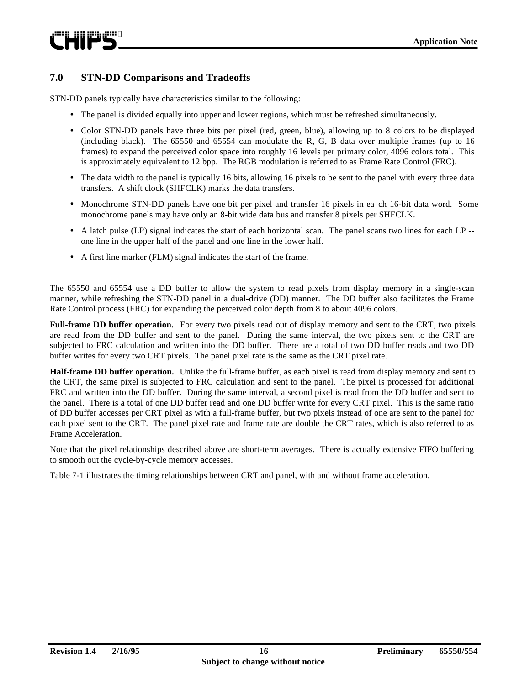#### **7.0 STN-DD Comparisons and Tradeoffs**

STN-DD panels typically have characteristics similar to the following:

- The panel is divided equally into upper and lower regions, which must be refreshed simultaneously.
- Color STN-DD panels have three bits per pixel (red, green, blue), allowing up to 8 colors to be displayed (including black). The 65550 and 65554 can modulate the R, G, B data over multiple frames (up to 16 frames) to expand the perceived color space into roughly 16 levels per primary color, 4096 colors total. This is approximately equivalent to 12 bpp. The RGB modulation is referred to as Frame Rate Control (FRC).
- The data width to the panel is typically 16 bits, allowing 16 pixels to be sent to the panel with every three data transfers. A shift clock (SHFCLK) marks the data transfers.
- Monochrome STN-DD panels have one bit per pixel and transfer 16 pixels in ea ch 16-bit data word. Some monochrome panels may have only an 8-bit wide data bus and transfer 8 pixels per SHFCLK.
- A latch pulse (LP) signal indicates the start of each horizontal scan. The panel scans two lines for each LP -one line in the upper half of the panel and one line in the lower half.
- A first line marker (FLM) signal indicates the start of the frame.

The 65550 and 65554 use a DD buffer to allow the system to read pixels from display memory in a single-scan manner, while refreshing the STN-DD panel in a dual-drive (DD) manner. The DD buffer also facilitates the Frame Rate Control process (FRC) for expanding the perceived color depth from 8 to about 4096 colors.

**Full-frame DD buffer operation.** For every two pixels read out of display memory and sent to the CRT, two pixels are read from the DD buffer and sent to the panel. During the same interval, the two pixels sent to the CRT are subjected to FRC calculation and written into the DD buffer. There are a total of two DD buffer reads and two DD buffer writes for every two CRT pixels. The panel pixel rate is the same as the CRT pixel rate.

**Half-frame DD buffer operation.** Unlike the full-frame buffer, as each pixel is read from display memory and sent to the CRT, the same pixel is subjected to FRC calculation and sent to the panel. The pixel is processed for additional FRC and written into the DD buffer. During the same interval, a second pixel is read from the DD buffer and sent to the panel. There is a total of one DD buffer read and one DD buffer write for every CRT pixel. This is the same ratio of DD buffer accesses per CRT pixel as with a full-frame buffer, but two pixels instead of one are sent to the panel for each pixel sent to the CRT. The panel pixel rate and frame rate are double the CRT rates, which is also referred to as Frame Acceleration.

Note that the pixel relationships described above are short-term averages. There is actually extensive FIFO buffering to smooth out the cycle-by-cycle memory accesses.

Table 7-1 illustrates the timing relationships between CRT and panel, with and without frame acceleration.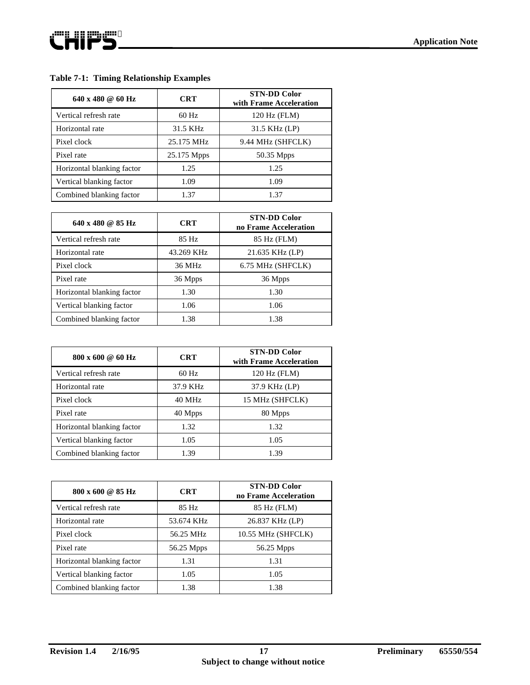#### **Table 7-1: Timing Relationship Examples**

| $640 \times 480 \text{ } \textcircled{a} 60 \text{ Hz}$ | <b>CRT</b>  | <b>STN-DD Color</b><br>with Frame Acceleration |
|---------------------------------------------------------|-------------|------------------------------------------------|
| Vertical refresh rate                                   | $60$ Hz     | 120 Hz (FLM)                                   |
| Horizontal rate                                         | 31.5 KHz    | 31.5 KHz (LP)                                  |
| Pixel clock                                             | 25.175 MHz  | 9.44 MHz (SHFCLK)                              |
| Pixel rate                                              | 25.175 Mpps | 50.35 Mpps                                     |
| Horizontal blanking factor                              | 1.25        | 1.25                                           |
| Vertical blanking factor                                | 1.09        | 1.09                                           |
| Combined blanking factor                                | 1.37        | 1.37                                           |

| $640 \times 480 \text{ @ } 85 \text{ Hz}$ | <b>CRT</b> | <b>STN-DD Color</b><br>no Frame Acceleration |
|-------------------------------------------|------------|----------------------------------------------|
| Vertical refresh rate                     | 85 Hz      | 85 Hz (FLM)                                  |
| Horizontal rate                           | 43.269 KHz | 21.635 KHz (LP)                              |
| Pixel clock                               | 36 MHz     | 6.75 MHz (SHFCLK)                            |
| Pixel rate                                | 36 Mpps    | 36 Mpps                                      |
| Horizontal blanking factor                | 1.30       | 1.30                                         |
| Vertical blanking factor                  | 1.06       | 1.06                                         |
| Combined blanking factor                  | 1.38       | 1.38                                         |

| 800 x 600 @ 60 Hz          | <b>CRT</b> | <b>STN-DD Color</b><br>with Frame Acceleration |
|----------------------------|------------|------------------------------------------------|
| Vertical refresh rate      | $60$ Hz    | 120 Hz (FLM)                                   |
| Horizontal rate            | 37.9 KHz   | 37.9 KHz (LP)                                  |
| Pixel clock                | 40 MHz     | 15 MHz (SHFCLK)                                |
| Pixel rate                 | 40 Mpps    | 80 Mpps                                        |
| Horizontal blanking factor | 1.32       | 1.32                                           |
| Vertical blanking factor   | 1.05       | 1.05                                           |
| Combined blanking factor   | 1.39       | 1.39                                           |

| 800 x 600 @ 85 Hz          | <b>CRT</b> | <b>STN-DD Color</b><br>no Frame Acceleration |
|----------------------------|------------|----------------------------------------------|
| Vertical refresh rate      | 85 Hz      | 85 Hz (FLM)                                  |
| Horizontal rate            | 53.674 KHz | 26.837 KHz (LP)                              |
| Pixel clock                | 56.25 MHz  | 10.55 MHz (SHFCLK)                           |
| Pixel rate                 | 56.25 Mpps | 56.25 Mpps                                   |
| Horizontal blanking factor | 1.31       | 1.31                                         |
| Vertical blanking factor   | 1.05       | 1.05                                         |
| Combined blanking factor   | 1.38       | 1.38                                         |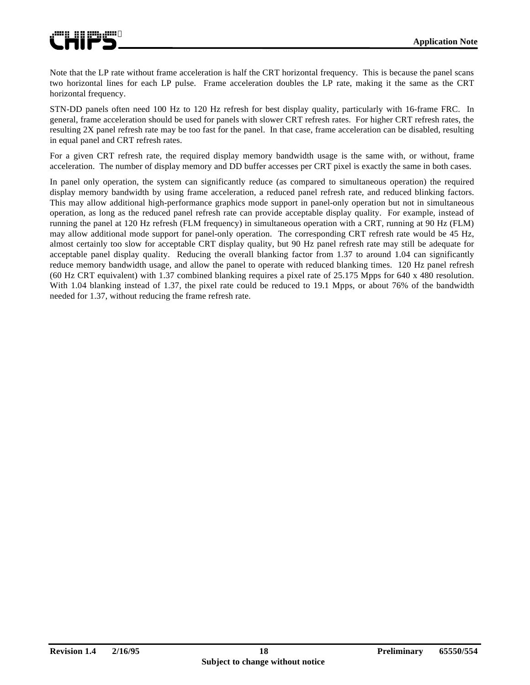

Note that the LP rate without frame acceleration is half the CRT horizontal frequency. This is because the panel scans two horizontal lines for each LP pulse. Frame acceleration doubles the LP rate, making it the same as the CRT horizontal frequency.

STN-DD panels often need 100 Hz to 120 Hz refresh for best display quality, particularly with 16-frame FRC. In general, frame acceleration should be used for panels with slower CRT refresh rates. For higher CRT refresh rates, the resulting 2X panel refresh rate may be too fast for the panel. In that case, frame acceleration can be disabled, resulting in equal panel and CRT refresh rates.

For a given CRT refresh rate, the required display memory bandwidth usage is the same with, or without, frame acceleration. The number of display memory and DD buffer accesses per CRT pixel is exactly the same in both cases.

In panel only operation, the system can significantly reduce (as compared to simultaneous operation) the required display memory bandwidth by using frame acceleration, a reduced panel refresh rate, and reduced blinking factors. This may allow additional high-performance graphics mode support in panel-only operation but not in simultaneous operation, as long as the reduced panel refresh rate can provide acceptable display quality. For example, instead of running the panel at 120 Hz refresh (FLM frequency) in simultaneous operation with a CRT, running at 90 Hz (FLM) may allow additional mode support for panel-only operation. The corresponding CRT refresh rate would be 45 Hz, almost certainly too slow for acceptable CRT display quality, but 90 Hz panel refresh rate may still be adequate for acceptable panel display quality. Reducing the overall blanking factor from 1.37 to around 1.04 can significantly reduce memory bandwidth usage, and allow the panel to operate with reduced blanking times. 120 Hz panel refresh (60 Hz CRT equivalent) with 1.37 combined blanking requires a pixel rate of 25.175 Mpps for 640 x 480 resolution. With 1.04 blanking instead of 1.37, the pixel rate could be reduced to 19.1 Mpps, or about 76% of the bandwidth needed for 1.37, without reducing the frame refresh rate.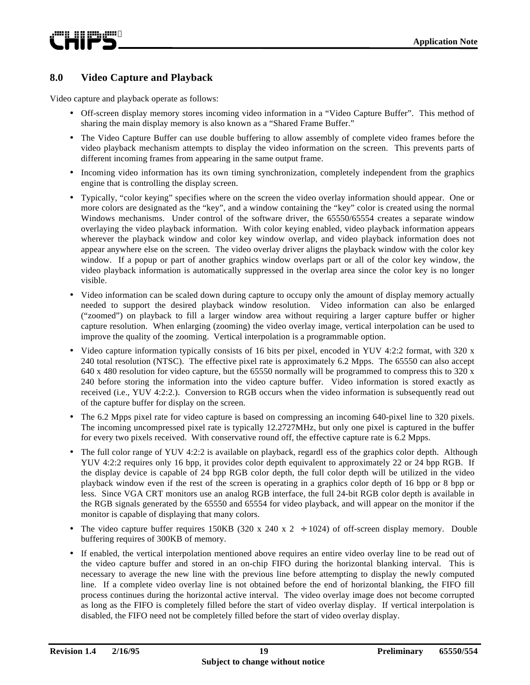#### **8.0 Video Capture and Playback**

Video capture and playback operate as follows:

- Off-screen display memory stores incoming video information in a "Video Capture Buffer". This method of sharing the main display memory is also known as a "Shared Frame Buffer."
- The Video Capture Buffer can use double buffering to allow assembly of complete video frames before the video playback mechanism attempts to display the video information on the screen. This prevents parts of different incoming frames from appearing in the same output frame.
- Incoming video information has its own timing synchronization, completely independent from the graphics engine that is controlling the display screen.
- Typically, "color keying" specifies where on the screen the video overlay information should appear. One or more colors are designated as the "key", and a window containing the "key" color is created using the normal Windows mechanisms. Under control of the software driver, the 65550/65554 creates a separate window overlaying the video playback information. With color keying enabled, video playback information appears wherever the playback window and color key window overlap, and video playback information does not appear anywhere else on the screen. The video overlay driver aligns the playback window with the color key window. If a popup or part of another graphics window overlaps part or all of the color key window, the video playback information is automatically suppressed in the overlap area since the color key is no longer visible.
- Video information can be scaled down during capture to occupy only the amount of display memory actually needed to support the desired playback window resolution. Video information can also be enlarged ("zoomed") on playback to fill a larger window area without requiring a larger capture buffer or higher capture resolution. When enlarging (zooming) the video overlay image, vertical interpolation can be used to improve the quality of the zooming. Vertical interpolation is a programmable option.
- Video capture information typically consists of 16 bits per pixel, encoded in YUV 4:2:2 format, with 320 x 240 total resolution (NTSC). The effective pixel rate is approximately 6.2 Mpps. The 65550 can also accept 640 x 480 resolution for video capture, but the 65550 normally will be programmed to compress this to 320 x 240 before storing the information into the video capture buffer. Video information is stored exactly as received (i.e., YUV 4:2:2.). Conversion to RGB occurs when the video information is subsequently read out of the capture buffer for display on the screen.
- The 6.2 Mpps pixel rate for video capture is based on compressing an incoming 640-pixel line to 320 pixels. The incoming uncompressed pixel rate is typically 12.2727MHz, but only one pixel is captured in the buffer for every two pixels received. With conservative round off, the effective capture rate is 6.2 Mpps.
- The full color range of YUV 4:2:2 is available on playback, regardl ess of the graphics color depth. Although YUV 4:2:2 requires only 16 bpp, it provides color depth equivalent to approximately 22 or 24 bpp RGB. If the display device is capable of 24 bpp RGB color depth, the full color depth will be utilized in the video playback window even if the rest of the screen is operating in a graphics color depth of 16 bpp or 8 bpp or less. Since VGA CRT monitors use an analog RGB interface, the full 24-bit RGB color depth is available in the RGB signals generated by the 65550 and 65554 for video playback, and will appear on the monitor if the monitor is capable of displaying that many colors.
- The video capture buffer requires 150KB (320 x 240 x 2  $\div$  1024) of off-screen display memory. Double buffering requires of 300KB of memory.
- If enabled, the vertical interpolation mentioned above requires an entire video overlay line to be read out of the video capture buffer and stored in an on-chip FIFO during the horizontal blanking interval. This is necessary to average the new line with the previous line before attempting to display the newly computed line. If a complete video overlay line is not obtained before the end of horizontal blanking, the FIFO fill process continues during the horizontal active interval. The video overlay image does not become corrupted as long as the FIFO is completely filled before the start of video overlay display. If vertical interpolation is disabled, the FIFO need not be completely filled before the start of video overlay display.